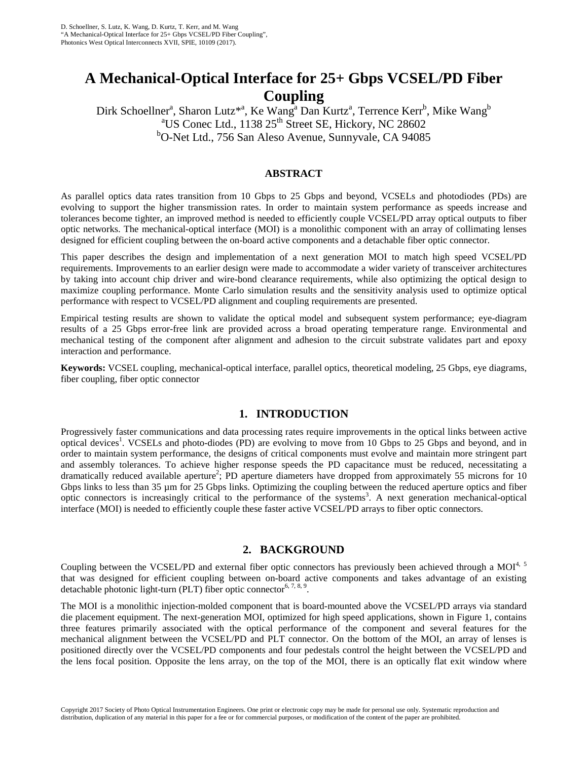# **A Mechanical-Optical Interface for 25+ Gbps VCSEL/PD Fiber Coupling**

Dirk Schoellner<sup>a</sup>, Sharon Lutz<sup>\*a</sup>, Ke Wang<sup>a</sup> Dan Kurtz<sup>a</sup>, Terrence Kerr<sup>b</sup>, Mike Wang<sup>b</sup>  $\rm{^{a}US}$  Conec Ltd., 1138  $\rm{25^{th}}$  Street SE, Hickory, NC 28602 b O-Net Ltd., 756 San Aleso Avenue, Sunnyvale, CA 94085

## **ABSTRACT**

As parallel optics data rates transition from 10 Gbps to 25 Gbps and beyond, VCSELs and photodiodes (PDs) are evolving to support the higher transmission rates. In order to maintain system performance as speeds increase and tolerances become tighter, an improved method is needed to efficiently couple VCSEL/PD array optical outputs to fiber optic networks. The mechanical-optical interface (MOI) is a monolithic component with an array of collimating lenses designed for efficient coupling between the on-board active components and a detachable fiber optic connector.

This paper describes the design and implementation of a next generation MOI to match high speed VCSEL/PD requirements. Improvements to an earlier design were made to accommodate a wider variety of transceiver architectures by taking into account chip driver and wire-bond clearance requirements, while also optimizing the optical design to maximize coupling performance. Monte Carlo simulation results and the sensitivity analysis used to optimize optical performance with respect to VCSEL/PD alignment and coupling requirements are presented.

Empirical testing results are shown to validate the optical model and subsequent system performance; eye-diagram results of a 25 Gbps error-free link are provided across a broad operating temperature range. Environmental and mechanical testing of the component after alignment and adhesion to the circuit substrate validates part and epoxy interaction and performance.

**Keywords:** VCSEL coupling, mechanical-optical interface, parallel optics, theoretical modeling, 25 Gbps, eye diagrams, fiber coupling, fiber optic connector

## **1. INTRODUCTION**

Progressively faster communications and data processing rates require improvements in the optical links between active optical devices<sup>1</sup>. VCSELs and photo-diodes (PD) are evolving to move from 10 Gbps to 25 Gbps and beyond, and in order to maintain system performance, the designs of critical components must evolve and maintain more stringent part and assembly tolerances. To achieve higher response speeds the PD capacitance must be reduced, necessitating a dramatically reduced available aperture<sup>2</sup>; PD aperture diameters have dropped from approximately 55 microns for 10 Gbps links to less than 35 µm for 25 Gbps links. Optimizing the coupling between the reduced aperture optics and fiber optic connectors is increasingly critical to the performance of the systems<sup>3</sup>. A next generation mechanical-optical interface (MOI) is needed to efficiently couple these faster active VCSEL/PD arrays to fiber optic connectors.

# **2. BACKGROUND**

Coupling between the VCSEL/PD and external fiber optic connectors has previously been achieved through a MOI<sup>4, 5</sup> that was designed for efficient coupling between on-board active components and takes advantage of an existing detachable photonic light-turn (PLT) fiber optic connector<sup>6, 7, 8, 9</sup>.

The MOI is a monolithic injection-molded component that is board-mounted above the VCSEL/PD arrays via standard die placement equipment. The next-generation MOI, optimized for high speed applications, shown in Figure 1, contains three features primarily associated with the optical performance of the component and several features for the mechanical alignment between the VCSEL/PD and PLT connector. On the bottom of the MOI, an array of lenses is positioned directly over the VCSEL/PD components and four pedestals control the height between the VCSEL/PD and the lens focal position. Opposite the lens array, on the top of the MOI, there is an optically flat exit window where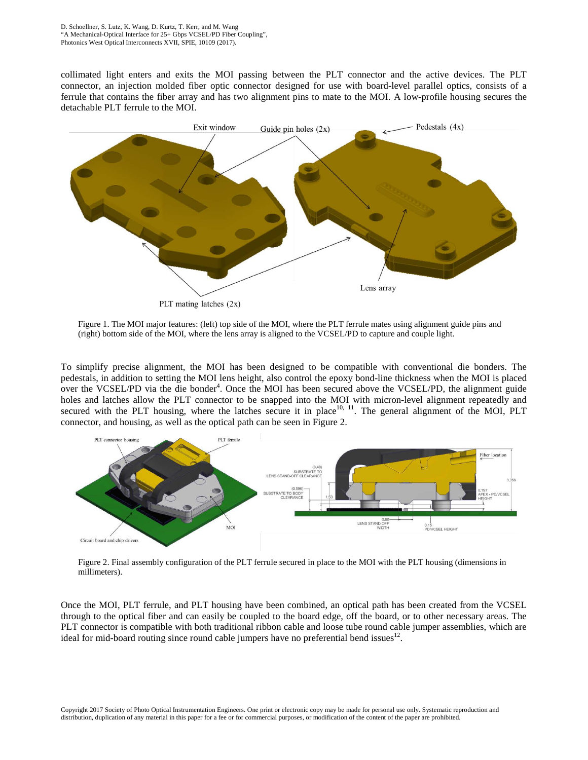collimated light enters and exits the MOI passing between the PLT connector and the active devices. The PLT connector, an injection molded fiber optic connector designed for use with board-level parallel optics, consists of a ferrule that contains the fiber array and has two alignment pins to mate to the MOI. A low-profile housing secures the detachable PLT ferrule to the MOI.



Figure 1. The MOI major features: (left) top side of the MOI, where the PLT ferrule mates using alignment guide pins and (right) bottom side of the MOI, where the lens array is aligned to the VCSEL/PD to capture and couple light.

To simplify precise alignment, the MOI has been designed to be compatible with conventional die bonders. The pedestals, in addition to setting the MOI lens height, also control the epoxy bond-line thickness when the MOI is placed over the VCSEL/PD via the die bonder<sup>4</sup>. Once the MOI has been secured above the VCSEL/PD, the alignment guide holes and latches allow the PLT connector to be snapped into the MOI with micron-level alignment repeatedly and secured with the PLT housing, where the latches secure it in place<sup>10, 11</sup>. The general alignment of the MOI, PLT connector, and housing, as well as the optical path can be seen in Figure 2.



Figure 2. Final assembly configuration of the PLT ferrule secured in place to the MOI with the PLT housing (dimensions in millimeters).

Once the MOI, PLT ferrule, and PLT housing have been combined, an optical path has been created from the VCSEL through to the optical fiber and can easily be coupled to the board edge, off the board, or to other necessary areas. The PLT connector is compatible with both traditional ribbon cable and loose tube round cable jumper assemblies, which are ideal for mid-board routing since round cable jumpers have no preferential bend issues $12$ .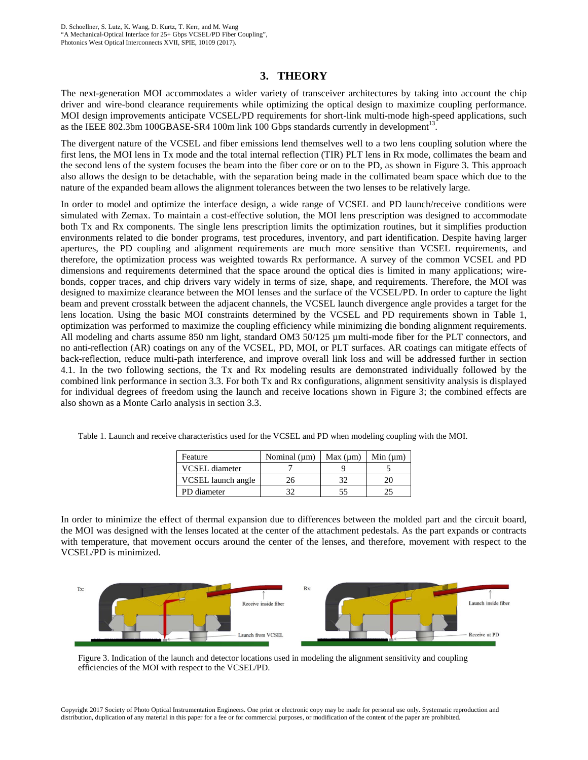# **3. THEORY**

The next-generation MOI accommodates a wider variety of transceiver architectures by taking into account the chip driver and wire-bond clearance requirements while optimizing the optical design to maximize coupling performance. MOI design improvements anticipate VCSEL/PD requirements for short-link multi-mode high-speed applications, such as the IEEE 802.3bm 100GBASE-SR4 100m link 100 Gbps standards currently in development<sup>13</sup>.

The divergent nature of the VCSEL and fiber emissions lend themselves well to a two lens coupling solution where the first lens, the MOI lens in Tx mode and the total internal reflection (TIR) PLT lens in Rx mode, collimates the beam and the second lens of the system focuses the beam into the fiber core or on to the PD, as shown in Figure 3. This approach also allows the design to be detachable, with the separation being made in the collimated beam space which due to the nature of the expanded beam allows the alignment tolerances between the two lenses to be relatively large.

In order to model and optimize the interface design, a wide range of VCSEL and PD launch/receive conditions were simulated with Zemax. To maintain a cost-effective solution, the MOI lens prescription was designed to accommodate both Tx and Rx components. The single lens prescription limits the optimization routines, but it simplifies production environments related to die bonder programs, test procedures, inventory, and part identification. Despite having larger apertures, the PD coupling and alignment requirements are much more sensitive than VCSEL requirements, and therefore, the optimization process was weighted towards Rx performance. A survey of the common VCSEL and PD dimensions and requirements determined that the space around the optical dies is limited in many applications; wirebonds, copper traces, and chip drivers vary widely in terms of size, shape, and requirements. Therefore, the MOI was designed to maximize clearance between the MOI lenses and the surface of the VCSEL/PD. In order to capture the light beam and prevent crosstalk between the adjacent channels, the VCSEL launch divergence angle provides a target for the lens location. Using the basic MOI constraints determined by the VCSEL and PD requirements shown in Table 1, optimization was performed to maximize the coupling efficiency while minimizing die bonding alignment requirements. All modeling and charts assume 850 nm light, standard OM3 50/125 µm multi-mode fiber for the PLT connectors, and no anti-reflection (AR) coatings on any of the VCSEL, PD, MOI, or PLT surfaces. AR coatings can mitigate effects of back-reflection, reduce multi-path interference, and improve overall link loss and will be addressed further in section 4.1. In the two following sections, the Tx and Rx modeling results are demonstrated individually followed by the combined link performance in section 3.3. For both Tx and Rx configurations, alignment sensitivity analysis is displayed for individual degrees of freedom using the launch and receive locations shown in Figure 3; the combined effects are also shown as a Monte Carlo analysis in section 3.3.

| Feature               | Nominal $(\mu m)$ | Max (µm) | Min $(\mu m)$ |
|-----------------------|-------------------|----------|---------------|
| <b>VCSEL</b> diameter |                   |          |               |
| VCSEL launch angle    | 26                |          |               |
| PD diameter           |                   |          |               |

Table 1. Launch and receive characteristics used for the VCSEL and PD when modeling coupling with the MOI.

In order to minimize the effect of thermal expansion due to differences between the molded part and the circuit board, the MOI was designed with the lenses located at the center of the attachment pedestals. As the part expands or contracts with temperature, that movement occurs around the center of the lenses, and therefore, movement with respect to the VCSEL/PD is minimized.



Figure 3. Indication of the launch and detector locations used in modeling the alignment sensitivity and coupling efficiencies of the MOI with respect to the VCSEL/PD.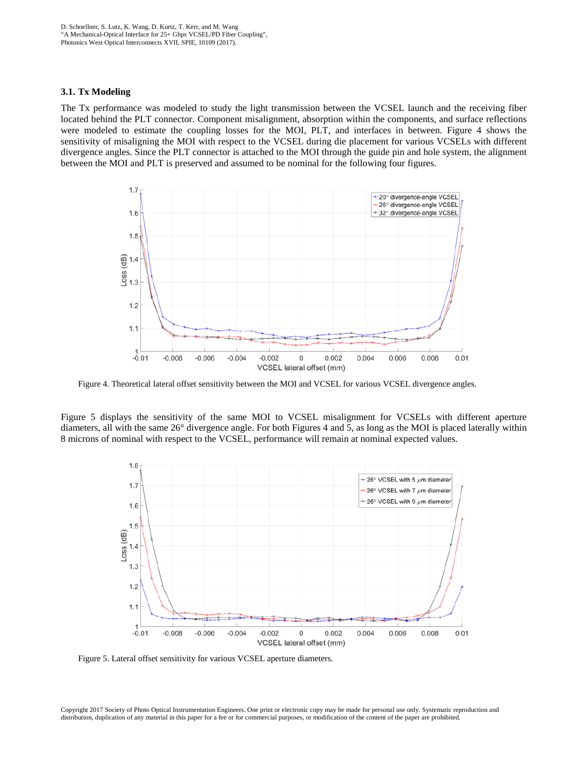#### **3.1. Tx Modeling**

The Tx performance was modeled to study the light transmission between the VCSEL launch and the receiving fiber located behind the PLT connector. Component misalignment, absorption within the components, and surface reflections were modeled to estimate the coupling losses for the MOI, PLT, and interfaces in between. Figure 4 shows the sensitivity of misaligning the MOI with respect to the VCSEL during die placement for various VCSELs with different divergence angles. Since the PLT connector is attached to the MOI through the guide pin and hole system, the alignment between the MOI and PLT is preserved and assumed to be nominal for the following four figures.



Figure 4. Theoretical lateral offset sensitivity between the MOI and VCSEL for various VCSEL divergence angles.

Figure 5 displays the sensitivity of the same MOI to VCSEL misalignment for VCSELs with different aperture diameters, all with the same 26° divergence angle. For both Figures 4 and 5, as long as the MOI is placed laterally within 8 microns of nominal with respect to the VCSEL, performance will remain at nominal expected values.



Figure 5. Lateral offset sensitivity for various VCSEL aperture diameters.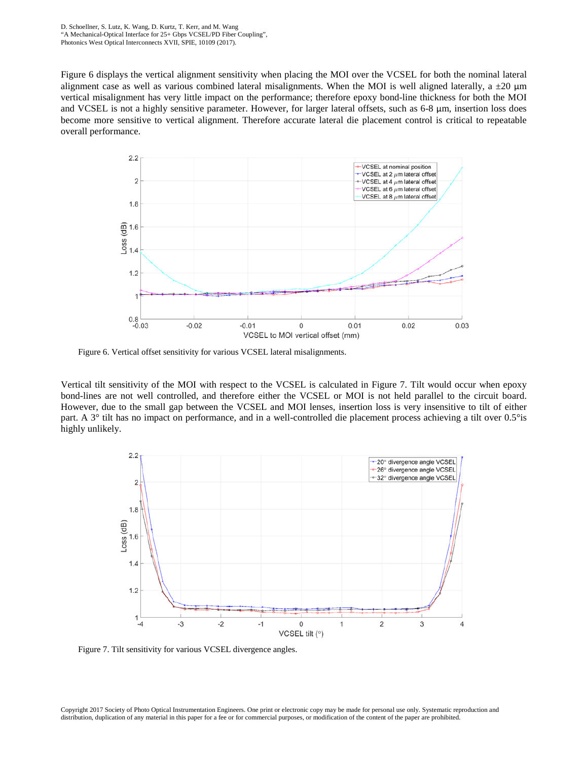Figure 6 displays the vertical alignment sensitivity when placing the MOI over the VCSEL for both the nominal lateral alignment case as well as various combined lateral misalignments. When the MOI is well aligned laterally, a  $\pm 20$  µm vertical misalignment has very little impact on the performance; therefore epoxy bond-line thickness for both the MOI and VCSEL is not a highly sensitive parameter. However, for larger lateral offsets, such as 6-8 μm, insertion loss does become more sensitive to vertical alignment. Therefore accurate lateral die placement control is critical to repeatable overall performance.



Figure 6. Vertical offset sensitivity for various VCSEL lateral misalignments.

Vertical tilt sensitivity of the MOI with respect to the VCSEL is calculated in Figure 7. Tilt would occur when epoxy bond-lines are not well controlled, and therefore either the VCSEL or MOI is not held parallel to the circuit board. However, due to the small gap between the VCSEL and MOI lenses, insertion loss is very insensitive to tilt of either part. A 3° tilt has no impact on performance, and in a well-controlled die placement process achieving a tilt over 0.5°is highly unlikely.



Figure 7. Tilt sensitivity for various VCSEL divergence angles.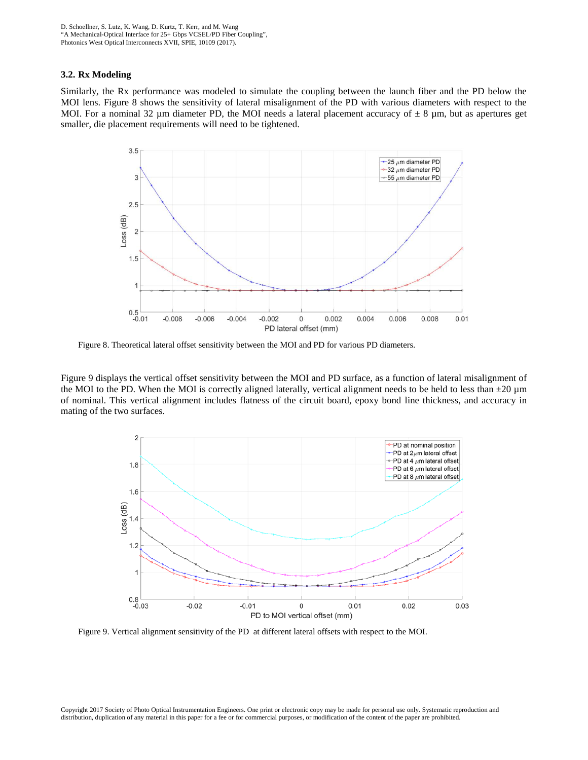#### **3.2. Rx Modeling**

Similarly, the Rx performance was modeled to simulate the coupling between the launch fiber and the PD below the MOI lens. Figure 8 shows the sensitivity of lateral misalignment of the PD with various diameters with respect to the MOI. For a nominal 32  $\mu$ m diameter PD, the MOI needs a lateral placement accuracy of  $\pm 8 \mu$ m, but as apertures get smaller, die placement requirements will need to be tightened.



Figure 8. Theoretical lateral offset sensitivity between the MOI and PD for various PD diameters.

Figure 9 displays the vertical offset sensitivity between the MOI and PD surface, as a function of lateral misalignment of the MOI to the PD. When the MOI is correctly aligned laterally, vertical alignment needs to be held to less than  $\pm 20 \,\mu m$ of nominal. This vertical alignment includes flatness of the circuit board, epoxy bond line thickness, and accuracy in mating of the two surfaces.



Figure 9. Vertical alignment sensitivity of the PD at different lateral offsets with respect to the MOI.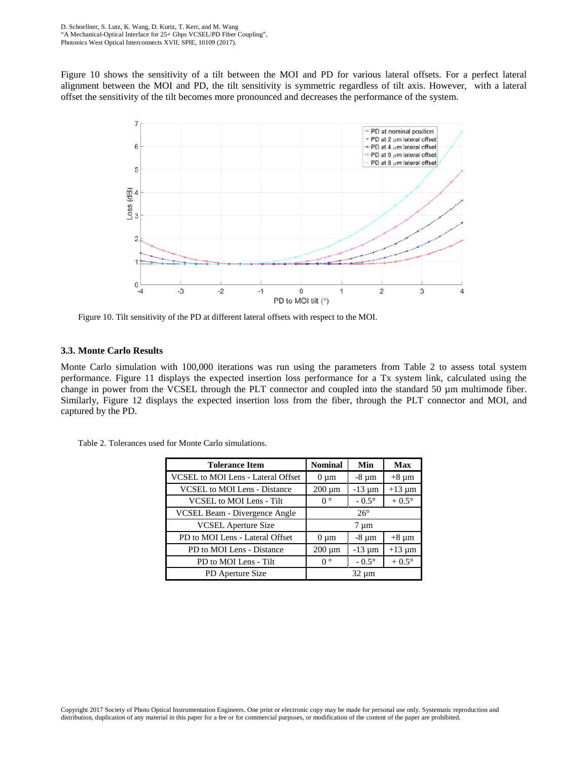Figure 10 shows the sensitivity of a tilt between the MOI and PD for various lateral offsets. For a perfect lateral alignment between the MOI and PD, the tilt sensitivity is symmetric regardless of tilt axis. However, with a lateral offset the sensitivity of the tilt becomes more pronounced and decreases the performance of the system.



Figure 10. Tilt sensitivity of the PD at different lateral offsets with respect to the MOI.

## **3.3. Monte Carlo Results**

Monte Carlo simulation with 100,000 iterations was run using the parameters from Table 2 to assess total system performance. Figure 11 displays the expected insertion loss performance for a Tx system link, calculated using the change in power from the VCSEL through the PLT connector and coupled into the standard 50 µm multimode fiber. Similarly, Figure 12 displays the expected insertion loss from the fiber, through the PLT connector and MOI, and captured by the PD.

Table 2. Tolerances used for Monte Carlo simulations.

| <b>Tolerance Item</b>                     | <b>Nominal</b>           | <b>Min</b>   | <b>Max</b>     |
|-------------------------------------------|--------------------------|--------------|----------------|
| <b>VCSEL</b> to MOI Lens - Lateral Offset | $0 \mu m$                | $-8 \mu m$   | $+8 \mu m$     |
| <b>VCSEL</b> to MOI Lens - Distance       | $200 \mu m$              | $-13 \mu m$  | $+13 \mu m$    |
| VCSEL to MOI Lens - Tilt                  | $0^{\circ}$              | $-0.5^\circ$ | $+0.5^{\circ}$ |
| VCSEL Beam - Divergence Angle             | $26^\circ$               |              |                |
| <b>VCSEL</b> Aperture Size                | 7 um                     |              |                |
| PD to MOI Lens - Lateral Offset           | $0 \mu m$                | $-8 \mu m$   | $+8 \mu m$     |
| PD to MOI Lens - Distance                 | $200 \,\mathrm{\upmu m}$ | $-13 \mu m$  | $+13 \mu m$    |
| PD to MOI Lens - Tilt                     | $0^{\circ}$              | $-0.5^\circ$ | $+0.5^{\circ}$ |
| PD Aperture Size                          |                          | 32 um        |                |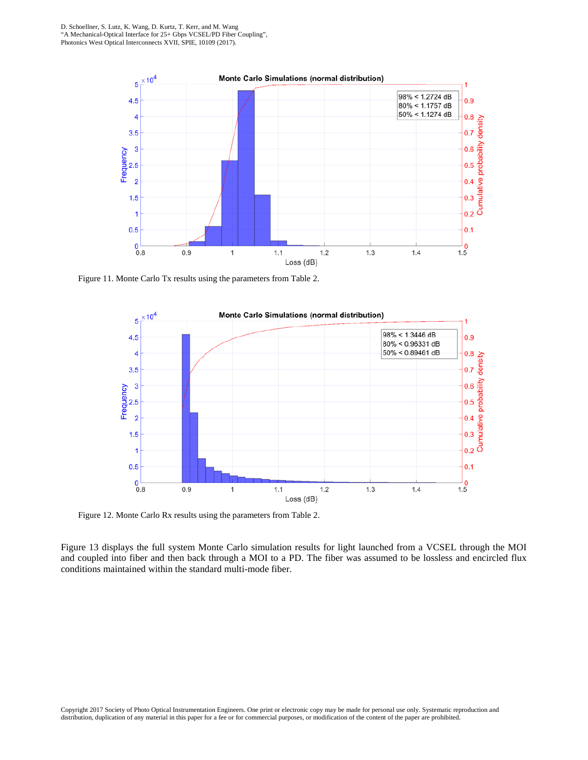

Figure 11. Monte Carlo Tx results using the parameters from Table 2.



Figure 12. Monte Carlo Rx results using the parameters from Table 2.

Figure 13 displays the full system Monte Carlo simulation results for light launched from a VCSEL through the MOI and coupled into fiber and then back through a MOI to a PD. The fiber was assumed to be lossless and encircled flux conditions maintained within the standard multi-mode fiber.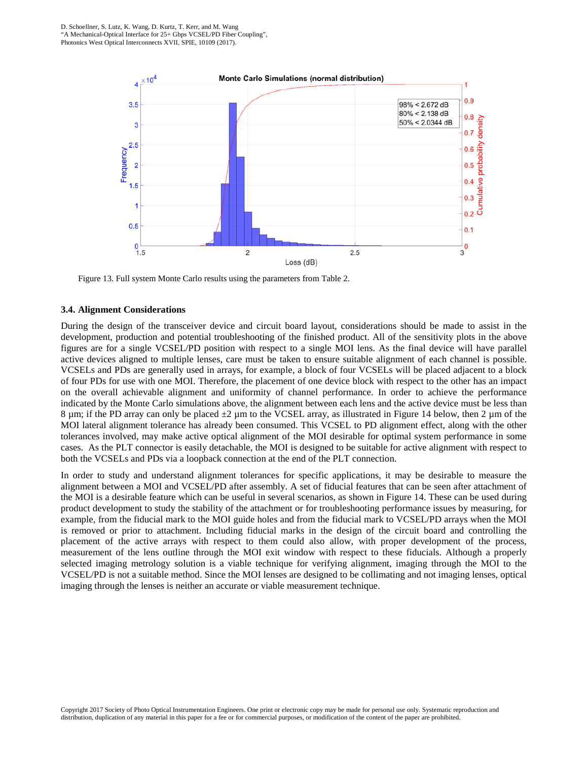

Figure 13. Full system Monte Carlo results using the parameters from Table 2.

#### **3.4. Alignment Considerations**

During the design of the transceiver device and circuit board layout, considerations should be made to assist in the development, production and potential troubleshooting of the finished product. All of the sensitivity plots in the above figures are for a single VCSEL/PD position with respect to a single MOI lens. As the final device will have parallel active devices aligned to multiple lenses, care must be taken to ensure suitable alignment of each channel is possible. VCSELs and PDs are generally used in arrays, for example, a block of four VCSELs will be placed adjacent to a block of four PDs for use with one MOI. Therefore, the placement of one device block with respect to the other has an impact on the overall achievable alignment and uniformity of channel performance. In order to achieve the performance indicated by the Monte Carlo simulations above, the alignment between each lens and the active device must be less than 8 µm; if the PD array can only be placed  $\pm 2$  µm to the VCSEL array, as illustrated in Figure 14 below, then 2 µm of the MOI lateral alignment tolerance has already been consumed. This VCSEL to PD alignment effect, along with the other tolerances involved, may make active optical alignment of the MOI desirable for optimal system performance in some cases. As the PLT connector is easily detachable, the MOI is designed to be suitable for active alignment with respect to both the VCSELs and PDs via a loopback connection at the end of the PLT connection.

In order to study and understand alignment tolerances for specific applications, it may be desirable to measure the alignment between a MOI and VCSEL/PD after assembly. A set of fiducial features that can be seen after attachment of the MOI is a desirable feature which can be useful in several scenarios, as shown in Figure 14. These can be used during product development to study the stability of the attachment or for troubleshooting performance issues by measuring, for example, from the fiducial mark to the MOI guide holes and from the fiducial mark to VCSEL/PD arrays when the MOI is removed or prior to attachment. Including fiducial marks in the design of the circuit board and controlling the placement of the active arrays with respect to them could also allow, with proper development of the process, measurement of the lens outline through the MOI exit window with respect to these fiducials. Although a properly selected imaging metrology solution is a viable technique for verifying alignment, imaging through the MOI to the VCSEL/PD is not a suitable method. Since the MOI lenses are designed to be collimating and not imaging lenses, optical imaging through the lenses is neither an accurate or viable measurement technique.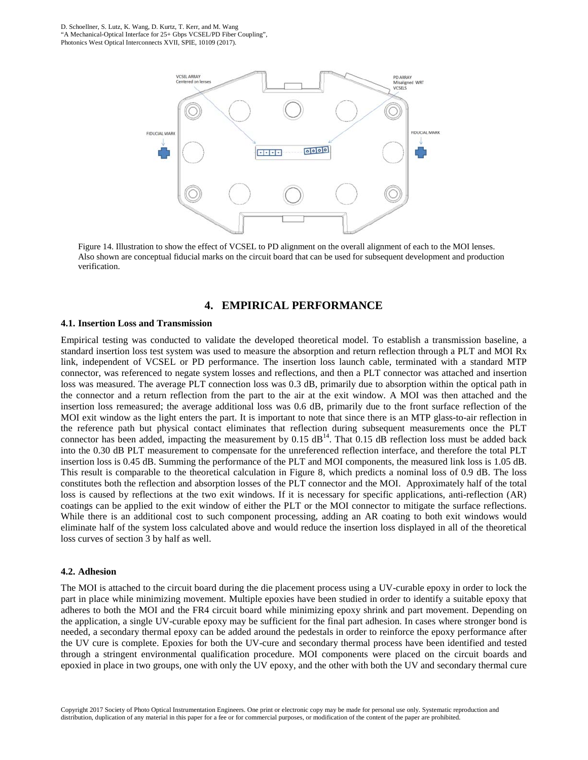

Figure 14. Illustration to show the effect of VCSEL to PD alignment on the overall alignment of each to the MOI lenses. Also shown are conceptual fiducial marks on the circuit board that can be used for subsequent development and production verification.

# **4. EMPIRICAL PERFORMANCE**

#### **4.1. Insertion Loss and Transmission**

Empirical testing was conducted to validate the developed theoretical model. To establish a transmission baseline, a standard insertion loss test system was used to measure the absorption and return reflection through a PLT and MOI Rx link, independent of VCSEL or PD performance. The insertion loss launch cable, terminated with a standard MTP connector, was referenced to negate system losses and reflections, and then a PLT connector was attached and insertion loss was measured. The average PLT connection loss was 0.3 dB, primarily due to absorption within the optical path in the connector and a return reflection from the part to the air at the exit window. A MOI was then attached and the insertion loss remeasured; the average additional loss was 0.6 dB, primarily due to the front surface reflection of the MOI exit window as the light enters the part. It is important to note that since there is an MTP glass-to-air reflection in the reference path but physical contact eliminates that reflection during subsequent measurements once the PLT connector has been added, impacting the measurement by  $0.15$  dB<sup>14</sup>. That  $0.15$  dB reflection loss must be added back into the 0.30 dB PLT measurement to compensate for the unreferenced reflection interface, and therefore the total PLT insertion loss is 0.45 dB. Summing the performance of the PLT and MOI components, the measured link loss is 1.05 dB. This result is comparable to the theoretical calculation in Figure 8, which predicts a nominal loss of 0.9 dB. The loss constitutes both the reflection and absorption losses of the PLT connector and the MOI. Approximately half of the total loss is caused by reflections at the two exit windows. If it is necessary for specific applications, anti-reflection (AR) coatings can be applied to the exit window of either the PLT or the MOI connector to mitigate the surface reflections. While there is an additional cost to such component processing, adding an AR coating to both exit windows would eliminate half of the system loss calculated above and would reduce the insertion loss displayed in all of the theoretical loss curves of section 3 by half as well.

#### **4.2. Adhesion**

The MOI is attached to the circuit board during the die placement process using a UV-curable epoxy in order to lock the part in place while minimizing movement. Multiple epoxies have been studied in order to identify a suitable epoxy that adheres to both the MOI and the FR4 circuit board while minimizing epoxy shrink and part movement. Depending on the application, a single UV-curable epoxy may be sufficient for the final part adhesion. In cases where stronger bond is needed, a secondary thermal epoxy can be added around the pedestals in order to reinforce the epoxy performance after the UV cure is complete. Epoxies for both the UV-cure and secondary thermal process have been identified and tested through a stringent environmental qualification procedure. MOI components were placed on the circuit boards and epoxied in place in two groups, one with only the UV epoxy, and the other with both the UV and secondary thermal cure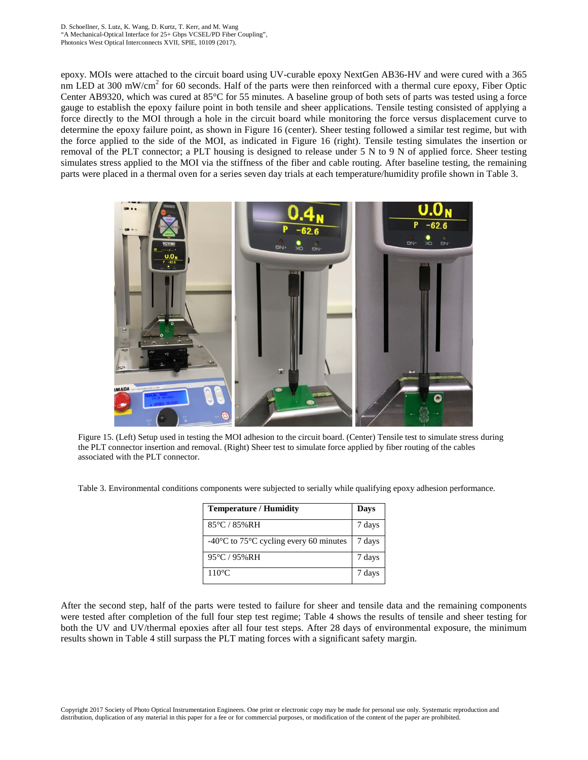epoxy. MOIs were attached to the circuit board using UV-curable epoxy NextGen AB36-HV and were cured with a 365 nm LED at 300 mW/cm<sup>2</sup> for 60 seconds. Half of the parts were then reinforced with a thermal cure epoxy, Fiber Optic Center AB9320, which was cured at 85°C for 55 minutes. A baseline group of both sets of parts was tested using a force gauge to establish the epoxy failure point in both tensile and sheer applications. Tensile testing consisted of applying a force directly to the MOI through a hole in the circuit board while monitoring the force versus displacement curve to determine the epoxy failure point, as shown in Figure 16 (center). Sheer testing followed a similar test regime, but with the force applied to the side of the MOI, as indicated in Figure 16 (right). Tensile testing simulates the insertion or removal of the PLT connector; a PLT housing is designed to release under 5 N to 9 N of applied force. Sheer testing simulates stress applied to the MOI via the stiffness of the fiber and cable routing. After baseline testing, the remaining parts were placed in a thermal oven for a series seven day trials at each temperature/humidity profile shown in Table 3.



Figure 15. (Left) Setup used in testing the MOI adhesion to the circuit board. (Center) Tensile test to simulate stress during the PLT connector insertion and removal. (Right) Sheer test to simulate force applied by fiber routing of the cables associated with the PLT connector.

Table 3. Environmental conditions components were subjected to serially while qualifying epoxy adhesion performance.

| <b>Temperature / Humidity</b>                                        | Days   |
|----------------------------------------------------------------------|--------|
| 85°C / 85%RH                                                         | 7 days |
| -40 $\rm{^{\circ}C}$ to 75 $\rm{^{\circ}C}$ cycling every 60 minutes | 7 days |
| 95°C / 95%RH                                                         | 7 days |
| $110^{\circ}$ C                                                      | 7 days |

After the second step, half of the parts were tested to failure for sheer and tensile data and the remaining components were tested after completion of the full four step test regime; Table 4 shows the results of tensile and sheer testing for both the UV and UV/thermal epoxies after all four test steps. After 28 days of environmental exposure, the minimum results shown in Table 4 still surpass the PLT mating forces with a significant safety margin.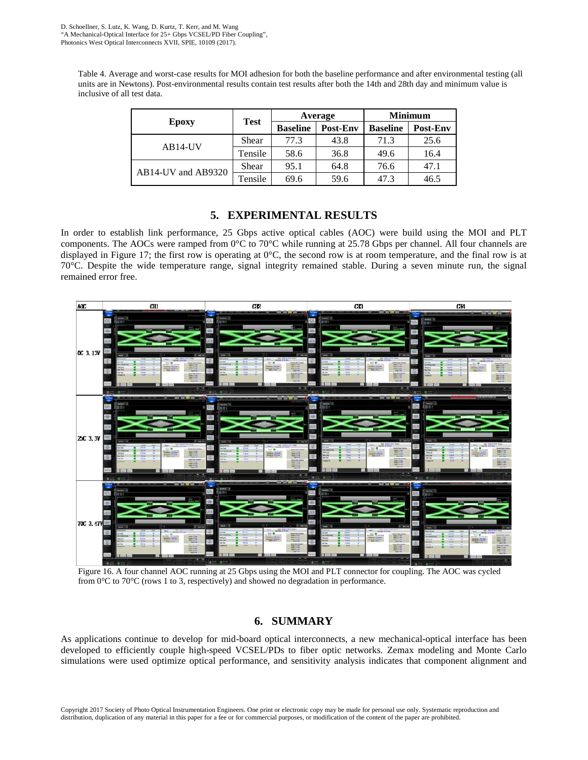Table 4. Average and worst-case results for MOI adhesion for both the baseline performance and after environmental testing (all units are in Newtons). Post-environmental results contain test results after both the 14th and 28th day and minimum value is inclusive of all test data.

| Epoxy              | <b>Test</b>  | Average         |          | <b>Minimum</b>  |          |
|--------------------|--------------|-----------------|----------|-----------------|----------|
|                    |              | <b>Baseline</b> | Post-Env | <b>Baseline</b> | Post-Env |
| $AB14$ -UV         | Shear        | 77.3            | 43.8     | 71.3            | 25.6     |
|                    | Tensile      | 58.6            | 36.8     | 49.6            | 16.4     |
| AB14-UV and AB9320 | <b>Shear</b> | 95.1            | 64.8     | 76.6            | 47.1     |
|                    | Tensile      | 69.6            | 59.6     | 47.3            | 46.5     |

# **5. EXPERIMENTAL RESULTS**

In order to establish link performance, 25 Gbps active optical cables (AOC) were build using the MOI and PLT components. The AOCs were ramped from 0°C to 70°C while running at 25.78 Gbps per channel. All four channels are displayed in Figure 17; the first row is operating at  $0^{\circ}$ C, the second row is at room temperature, and the final row is at 70°C. Despite the wide temperature range, signal integrity remained stable. During a seven minute run, the signal remained error free.



Figure 16. A four channel AOC running at 25 Gbps using the MOI and PLT connector for coupling. The AOC was cycled from 0°C to 70°C (rows 1 to 3, respectively) and showed no degradation in performance.

## **6. SUMMARY**

As applications continue to develop for mid-board optical interconnects, a new mechanical-optical interface has been developed to efficiently couple high-speed VCSEL/PDs to fiber optic networks. Zemax modeling and Monte Carlo simulations were used optimize optical performance, and sensitivity analysis indicates that component alignment and